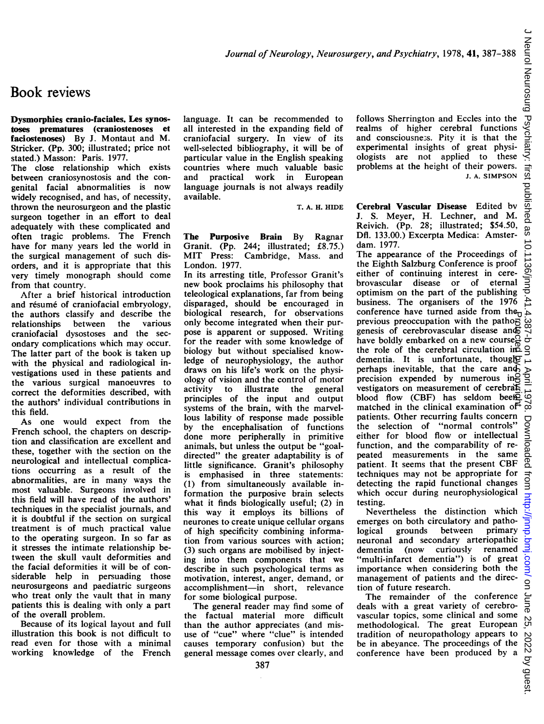## Book reviews

Dysmorphies cranio-faciales. Les synostoses prematures (craniostenoses et faciostenoses) By J. Montaut and M. Stricker. (Pp. 300; illustrated; price not stated.) Masson: Paris. 1977.

The close relationship which exists between craniosynostosis and the congenital facial abnormalities is now widely recognised, and has, of necessity, thrown the neurosurgeon and the plastic surgeon together in an effort to deal adequately with these complicated and often tragic problems. The French have for many years led the world in the surgical management of such disorders, and it is appropriate that this very timely monograph should come from that country.

After a brief historical introduction and résumé of craniofacial embryology, the authors classify and describe the<br>relationships between the various relationships craniofacial dysostoses and the secondary complications which may occur. The latter part of the book is taken up with the physical and radiological investigations used in these patients and the various surgical manoeuvres to correct the deformities described, with the authors' individual contributions in this field.

As one would expect from the French school, the chapters on description and classification are excellent and these, together with the section on the neurological and intellectual complications occurring as a result of the abnormalities, are in many ways the most valuable. Surgeons involved in this field will have read of the authors' techniques in the specialist journals, and it is doubtful if the section on surgical treatment is of much practical value to the operating surgeon. In so far as it stresses the intimate relationship between the skull vault deformities and the facial deformities it will be of considerable help in persuading those neurosurgeons and paediatric surgeons who treat only the vault that in many patients this is dealing with only a part of the overall problem.

Because of its logical layout and full illustration this book is not difficult to read even for those with a minimal working knowledge of the French

language. It can be recommended to all interested in the expanding field of craniofacial surgery. In view of its well-selected bibliography, it will be of particular value in the English speaking countries where much valuable basic and practical work in European language journals is not always readily available.

Granit. (Pp. 244; illustrated; £8.75.)<br>MIT Press: Cambridge, Mass. and MIT Press: Cambridge, Mass. and The appearance of the Proceedings of London. 1977.

new book proclaims his philosophy that brovascular disease or of eternal<br>teleological explanations far from being optimism on the part of the publishing teleological explanations, far from being optimism on the part of the publishing<br>disparaged should be encouraged in business. The organisers of the 1976 disparaged, should be encouraged in biological research. for observations ledge of neurophysiology, the author draws on his life's work on the physiology of vision and the control of motor<br>activity to illustrate the general principles of the input and output systems of the brain, with the marvelby the encephalisation of functions done more peripherally in primitive animals, but unless the output be "goal-<br>directed" the greater adaptability is of little significance. Granit's philosophy patient. It seems that the present CBF is emphasised in three statements: techniques may not be appropriate for<br>(1) from simultaneously available in-<br>detecting the rapid functional changes (1) from simultaneously available in- detecting the rapid functional changes formation the purposive brain selects which what it finds biologically useful:  $(2)$  in testing. what it finds biologically useful; (2) in testing.<br>this way it employs its billions of Nevertheless the distinction which this way it employs its billions of neurones to create unique cellular organs of high specificity combining informa-<br>tion from various sources with action; tion from various sources with action; neuronal and secondary arteriopathic (3) such organs are mobilised by inject- dementia (now curiously renamed (3) such organs are mobilised by inject- dementia (now curiously renamed ing into them components that we "multi-infarct dementia") is of great ing into them components that we "multi-infarct dementia") is of great describe in such psychological terms as importance when considering both the motivation, interest, anger, demand, or management of patient accomplishment—in short, relevance tion of future research. accomplishment-in short, relevance<br>for some biological purpose.

use of "cue" where "clue" is intended tradition of neuropathology appears to causes temporary confusion) but the be in abeyance. The proceedings of the causes temporary confusion) but the be in abeyance. The proceedings of the general message comes over clearly, and conference have been produced by a

follows Sherrington and Eccles into the realms of higher cerebral functions and consciousne3s. Pity it is that the experimental insights of great physiologists are not applied to these problems at the height of their powers. J. A. SIMPSON

T. A. H. HIDE Cerebral Vascular Disease Edited bv J. S. Meyer, H. Lechner, and M. Reivich. (Pp. 28; illustrated; \$54.50, The Purposive Brain By Ragnar Dfl. 133.00.) Excerpta Medica: Amster-<br>Granit (Pp. 244; illustrated: £8.75.) dam. 1977.

the Eighth Salzburg Conference is proof<br>either of continuing interest in cere-In its arresting title, Professor Granit's either of continuing interest in cere-<br>new book proclaims his philosophy that brovascular disease or of eternal biological research, for observations conference have turned aside from the<br>only become integrated when their pur-<br>previous preoccupation with the pathog previous preoccupation with the patho-<br>genesis of cerebrovascular disease and pose is apparent or supposed. Writing genesis of cerebrovascular disease and  $\overline{6}$  for the reader with some knowledge of have boldly embarked on a new course. for the reader with some knowledge of have boldly embarked on a new course  $\frac{G}{D}$  biology but without specialised know- the role of the cerebral circulation in biology but without specialised know- the role of the cerebral circulation in<br>ledge of neurophysiology, the author dementia. It is unfortunate, though perhaps inevitable, that the care and<br>precision expended by numerous in vestigators on measurement of cerebral blood flow  $(CBF)$  has seldom been systems of the brain, with the marvel- matched in the clinical examination of-<br>lous lability of response made possible patients. Other recurring faults concern patients. Other recurring faults concern<br>the selection of "normal controls" either for blood flow or intellectual function, and the comparability of repeated measurements in the same<br>patient. It seems that the present CBF Protected by copyright.

> emerges on both circulatory and patho-<br>logical grounds between primary importance when considering both the<br>management of patients and the direc-

r some biological purpose.<br>The remainder of the conference<br>The general reader may find some of deals with a great variety of cerebro-The general reader may find some of deals with a great variety of cerebro-<br>the factual material more difficult vascular topics, some clinical and some vascular topics, some clinical and some than the author appreciates (and mis- methodological. The great European use of "cue" where "clue" is intended tradition of neuropathology appears to conference have been produced by a